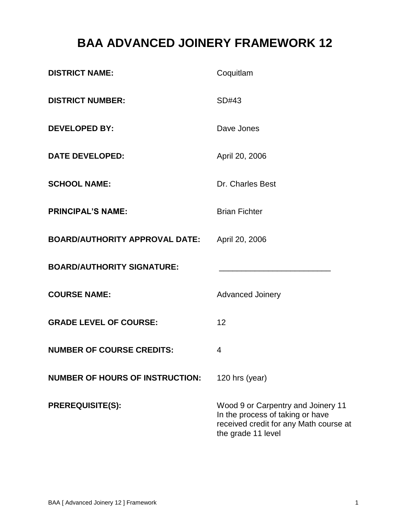# **BAA ADVANCED JOINERY FRAMEWORK 12**

| <b>DISTRICT NAME:</b>                  | Coquitlam                                                                                                                              |
|----------------------------------------|----------------------------------------------------------------------------------------------------------------------------------------|
| <b>DISTRICT NUMBER:</b>                | SD#43                                                                                                                                  |
| <b>DEVELOPED BY:</b>                   | Dave Jones                                                                                                                             |
| <b>DATE DEVELOPED:</b>                 | April 20, 2006                                                                                                                         |
| <b>SCHOOL NAME:</b>                    | Dr. Charles Best                                                                                                                       |
| <b>PRINCIPAL'S NAME:</b>               | <b>Brian Fichter</b>                                                                                                                   |
| <b>BOARD/AUTHORITY APPROVAL DATE:</b>  | April 20, 2006                                                                                                                         |
| <b>BOARD/AUTHORITY SIGNATURE:</b>      |                                                                                                                                        |
| <b>COURSE NAME:</b>                    | <b>Advanced Joinery</b>                                                                                                                |
| <b>GRADE LEVEL OF COURSE:</b>          | 12                                                                                                                                     |
| <b>NUMBER OF COURSE CREDITS:</b>       | 4                                                                                                                                      |
| <b>NUMBER OF HOURS OF INSTRUCTION:</b> | 120 hrs (year)                                                                                                                         |
| <b>PREREQUISITE(S):</b>                | Wood 9 or Carpentry and Joinery 11<br>In the process of taking or have<br>received credit for any Math course at<br>the grade 11 level |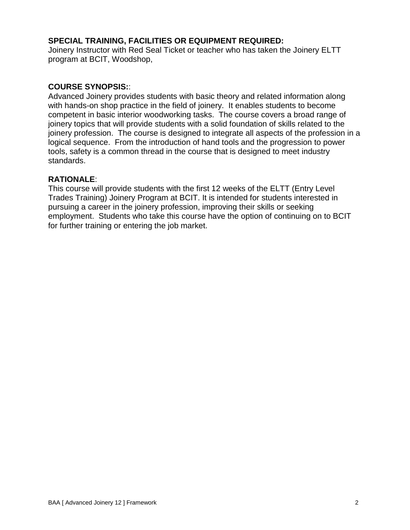# **SPECIAL TRAINING, FACILITIES OR EQUIPMENT REQUIRED:**

Joinery Instructor with Red Seal Ticket or teacher who has taken the Joinery ELTT program at BCIT, Woodshop,

### **COURSE SYNOPSIS:**:

Advanced Joinery provides students with basic theory and related information along with hands-on shop practice in the field of joinery. It enables students to become competent in basic interior woodworking tasks. The course covers a broad range of joinery topics that will provide students with a solid foundation of skills related to the joinery profession. The course is designed to integrate all aspects of the profession in a logical sequence. From the introduction of hand tools and the progression to power tools, safety is a common thread in the course that is designed to meet industry standards.

#### **RATIONALE**:

This course will provide students with the first 12 weeks of the ELTT (Entry Level Trades Training) Joinery Program at BCIT. It is intended for students interested in pursuing a career in the joinery profession, improving their skills or seeking employment. Students who take this course have the option of continuing on to BCIT for further training or entering the job market.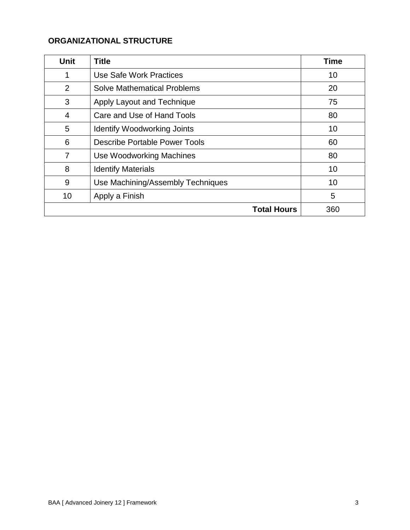# **ORGANIZATIONAL STRUCTURE**

| <b>Unit</b>    | <b>Title</b>                       | <b>Time</b> |
|----------------|------------------------------------|-------------|
| 1              | Use Safe Work Practices            | 10          |
| 2              | <b>Solve Mathematical Problems</b> | 20          |
| 3              | Apply Layout and Technique         | 75          |
| $\overline{4}$ | Care and Use of Hand Tools         | 80          |
| 5              | <b>Identify Woodworking Joints</b> | 10          |
| 6              | Describe Portable Power Tools      | 60          |
| $\overline{7}$ | Use Woodworking Machines           | 80          |
| 8              | <b>Identify Materials</b>          | 10          |
| 9              | Use Machining/Assembly Techniques  | 10          |
| 10             | Apply a Finish                     | 5           |
|                | <b>Total Hours</b>                 | 360         |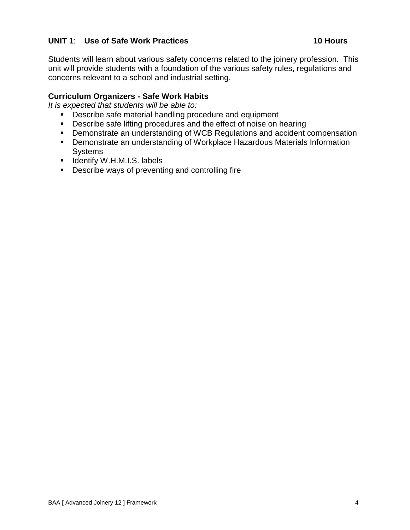# **UNIT 1**: **Use of Safe Work Practices 10 Hours**

Students will learn about various safety concerns related to the joinery profession. This unit will provide students with a foundation of the various safety rules, regulations and concerns relevant to a school and industrial setting.

# **Curriculum Organizers - Safe Work Habits**

- **Describe safe material handling procedure and equipment**
- **Describe safe lifting procedures and the effect of noise on hearing**
- Demonstrate an understanding of WCB Regulations and accident compensation
- Demonstrate an understanding of Workplace Hazardous Materials Information **Systems**
- **I** Identify W.H.M.I.S. labels
- **Describe ways of preventing and controlling fire**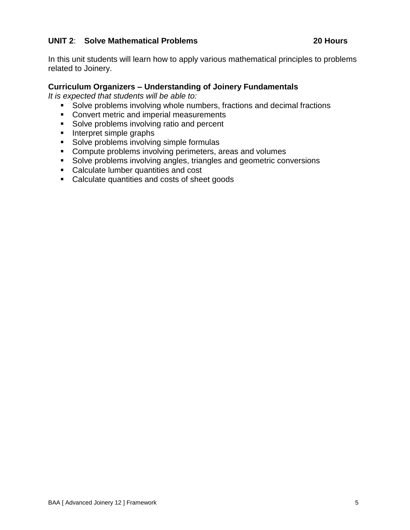# **UNIT 2**: **Solve Mathematical Problems 20 Hours**

In this unit students will learn how to apply various mathematical principles to problems related to Joinery.

### **Curriculum Organizers – Understanding of Joinery Fundamentals**

- Solve problems involving whole numbers, fractions and decimal fractions
- **Convert metric and imperial measurements**
- Solve problems involving ratio and percent
- $\blacksquare$  Interpret simple graphs
- **Solve problems involving simple formulas**
- **Compute problems involving perimeters, areas and volumes**
- **Solve problems involving angles, triangles and geometric conversions**
- **Calculate lumber quantities and cost**
- Calculate quantities and costs of sheet goods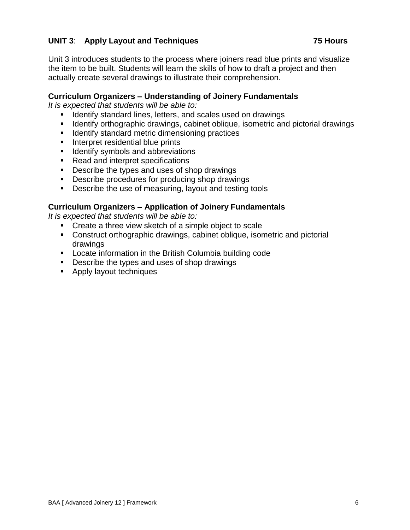# **UNIT 3**: **Apply Layout and Techniques 75 Hours**

Unit 3 introduces students to the process where joiners read blue prints and visualize the item to be built. Students will learn the skills of how to draft a project and then actually create several drawings to illustrate their comprehension.

# **Curriculum Organizers – Understanding of Joinery Fundamentals**

*It is expected that students will be able to:*

- **If Identify standard lines, letters, and scales used on drawings**
- **If Identify orthographic drawings, cabinet oblique, isometric and pictorial drawings**
- **IDENTIFY Standard metric dimensioning practices**
- **Interpret residential blue prints**
- **If Identify symbols and abbreviations**
- Read and interpret specifications
- Describe the types and uses of shop drawings
- **Describe procedures for producing shop drawings**
- Describe the use of measuring, layout and testing tools

# **Curriculum Organizers – Application of Joinery Fundamentals**

- Create a three view sketch of a simple object to scale
- Construct orthographic drawings, cabinet oblique, isometric and pictorial drawings
- Locate information in the British Columbia building code
- Describe the types and uses of shop drawings
- **Apply layout techniques**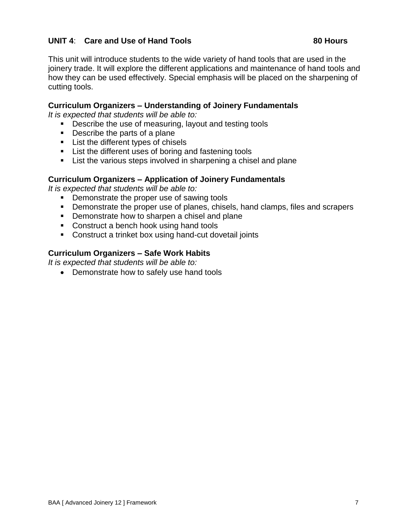# **UNIT 4**: **Care and Use of Hand Tools 80 Hours**

This unit will introduce students to the wide variety of hand tools that are used in the joinery trade. It will explore the different applications and maintenance of hand tools and how they can be used effectively. Special emphasis will be placed on the sharpening of cutting tools.

#### **Curriculum Organizers – Understanding of Joinery Fundamentals**

*It is expected that students will be able to:*

- **Describe the use of measuring, layout and testing tools**
- Describe the parts of a plane
- **EXECUTE:** List the different types of chisels
- **EXTER 1** List the different uses of boring and fastening tools
- **EXTE:** List the various steps involved in sharpening a chisel and plane

#### **Curriculum Organizers – Application of Joinery Fundamentals**

*It is expected that students will be able to:*

- **Demonstrate the proper use of sawing tools**
- Demonstrate the proper use of planes, chisels, hand clamps, files and scrapers
- **•** Demonstrate how to sharpen a chisel and plane
- **Construct a bench hook using hand tools**
- **Construct a trinket box using hand-cut dovetail joints**

#### **Curriculum Organizers – Safe Work Habits**

*It is expected that students will be able to:*

• Demonstrate how to safely use hand tools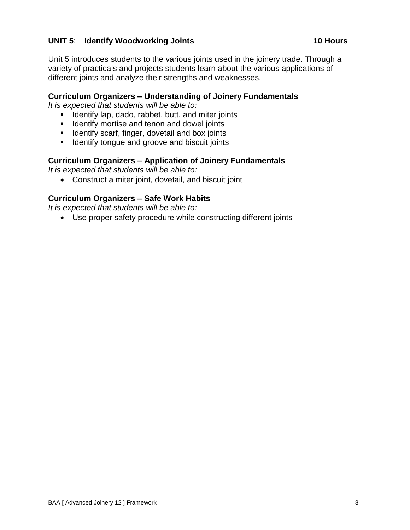# **UNIT 5**: **Identify Woodworking Joints 10 Hours**

Unit 5 introduces students to the various joints used in the joinery trade. Through a variety of practicals and projects students learn about the various applications of different joints and analyze their strengths and weaknesses.

# **Curriculum Organizers – Understanding of Joinery Fundamentals**

*It is expected that students will be able to:*

- **IDENTIFY LATA IS ADDET**, butt, and miter joints
- **IDENTIFY MORTIFY** denon and dowel joints
- $\blacksquare$  Identify scarf, finger, dovetail and box joints
- **If** Identify tongue and groove and biscuit joints

# **Curriculum Organizers – Application of Joinery Fundamentals**

*It is expected that students will be able to:*

Construct a miter joint, dovetail, and biscuit joint

# **Curriculum Organizers – Safe Work Habits**

*It is expected that students will be able to:*

Use proper safety procedure while constructing different joints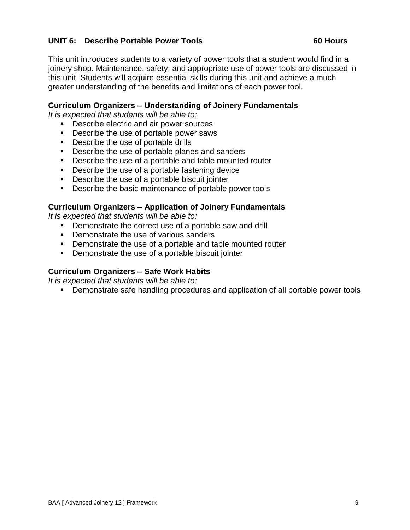# **UNIT 6: Describe Portable Power Tools 60 Hours**

This unit introduces students to a variety of power tools that a student would find in a joinery shop. Maintenance, safety, and appropriate use of power tools are discussed in this unit. Students will acquire essential skills during this unit and achieve a much greater understanding of the benefits and limitations of each power tool.

### **Curriculum Organizers – Understanding of Joinery Fundamentals**

*It is expected that students will be able to:*

- **Describe electric and air power sources**
- **Describe the use of portable power saws**
- **Describe the use of portable drills**
- Describe the use of portable planes and sanders
- **Describe the use of a portable and table mounted router**
- Describe the use of a portable fastening device
- Describe the use of a portable biscuit jointer
- **Describe the basic maintenance of portable power tools**

#### **Curriculum Organizers – Application of Joinery Fundamentals**

*It is expected that students will be able to:*

- **Demonstrate the correct use of a portable saw and drill**
- **•** Demonstrate the use of various sanders
- Demonstrate the use of a portable and table mounted router
- **Demonstrate the use of a portable biscuit jointer**

#### **Curriculum Organizers – Safe Work Habits**

*It is expected that students will be able to:*

Demonstrate safe handling procedures and application of all portable power tools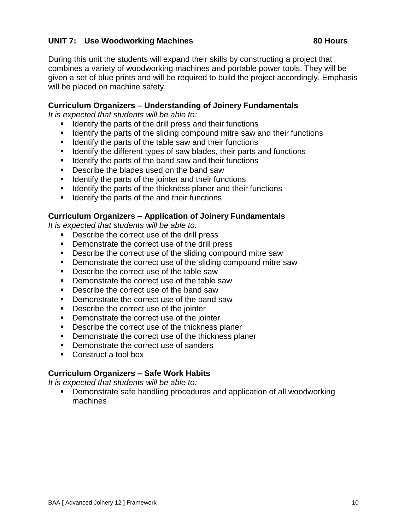# **UNIT 7: Use Woodworking Machines 80 Hours**

During this unit the students will expand their skills by constructing a project that combines a variety of woodworking machines and portable power tools. They will be given a set of blue prints and will be required to build the project accordingly. Emphasis will be placed on machine safety.

### **Curriculum Organizers – Understanding of Joinery Fundamentals**

*It is expected that students will be able to:*

- $\blacksquare$  Identify the parts of the drill press and their functions
- I Identify the parts of the sliding compound mitre saw and their functions
- $\blacksquare$  Identify the parts of the table saw and their functions
- **If Identify the different types of saw blades, their parts and functions**
- $\blacksquare$  Identify the parts of the band saw and their functions
- Describe the blades used on the band saw
- I Identify the parts of the jointer and their functions
- **If Identify the parts of the thickness planer and their functions**
- $\blacksquare$  Identify the parts of the and their functions

#### **Curriculum Organizers – Application of Joinery Fundamentals**

*It is expected that students will be able to:*

- **Describe the correct use of the drill press**
- **•** Demonstrate the correct use of the drill press
- **Describe the correct use of the sliding compound mitre saw**
- **Demonstrate the correct use of the sliding compound mitre saw**
- **Describe the correct use of the table saw**
- Demonstrate the correct use of the table saw
- **Describe the correct use of the band saw**
- Demonstrate the correct use of the band saw
- **Describe the correct use of the jointer**
- **•** Demonstrate the correct use of the jointer
- Describe the correct use of the thickness planer
- **•** Demonstrate the correct use of the thickness planer
- **Demonstrate the correct use of sanders**
- Construct a tool box

#### **Curriculum Organizers – Safe Work Habits**

*It is expected that students will be able to:*

 Demonstrate safe handling procedures and application of all woodworking machines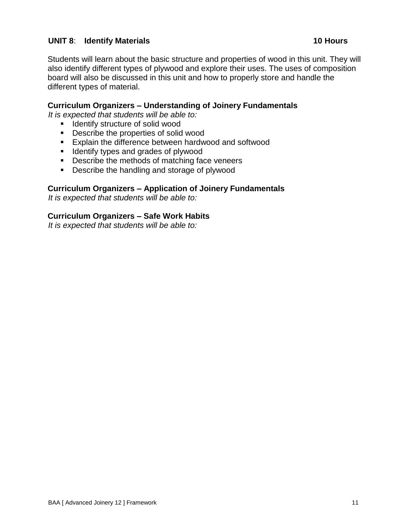# **UNIT 8**: **Identify Materials 10 Hours**

Students will learn about the basic structure and properties of wood in this unit. They will also identify different types of plywood and explore their uses. The uses of composition board will also be discussed in this unit and how to properly store and handle the different types of material.

### **Curriculum Organizers – Understanding of Joinery Fundamentals**

*It is expected that students will be able to:*

- **If** Identify structure of solid wood
- **Describe the properties of solid wood**
- **Explain the difference between hardwood and softwood**
- **If** Identify types and grades of plywood
- **Describe the methods of matching face veneers**
- **Describe the handling and storage of plywood**

#### **Curriculum Organizers – Application of Joinery Fundamentals**

*It is expected that students will be able to:*

#### **Curriculum Organizers – Safe Work Habits**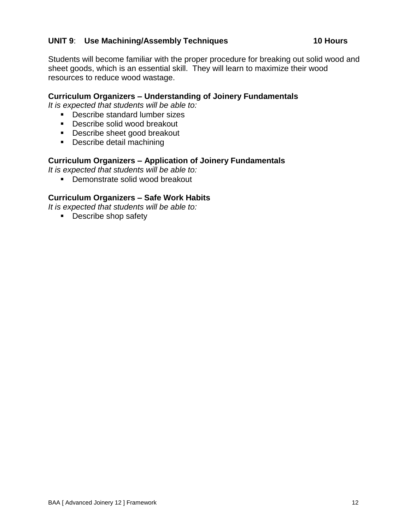# **UNIT 9**: **Use Machining/Assembly Techniques 10 Hours**

Students will become familiar with the proper procedure for breaking out solid wood and sheet goods, which is an essential skill. They will learn to maximize their wood resources to reduce wood wastage.

# **Curriculum Organizers – Understanding of Joinery Fundamentals**

*It is expected that students will be able to:*

- Describe standard lumber sizes
- **Describe solid wood breakout**
- Describe sheet good breakout
- **Describe detail machining**

#### **Curriculum Organizers – Application of Joinery Fundamentals**

*It is expected that students will be able to:*

**•** Demonstrate solid wood breakout

#### **Curriculum Organizers – Safe Work Habits**

*It is expected that students will be able to:*

**Describe shop safety**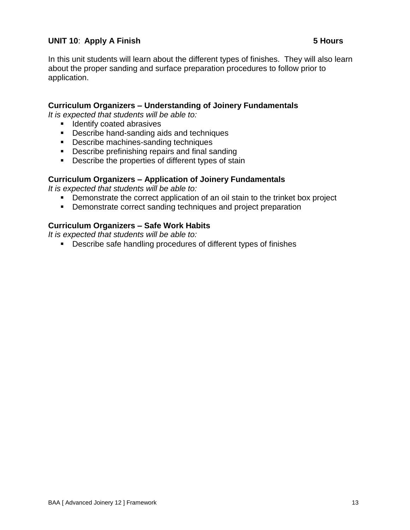# **UNIT 10**: **Apply A Finish 5 Hours**

In this unit students will learn about the different types of finishes. They will also learn about the proper sanding and surface preparation procedures to follow prior to application.

### **Curriculum Organizers – Understanding of Joinery Fundamentals**

*It is expected that students will be able to:*

- **IDENTIFY COATED ADDENSIVES**
- **Describe hand-sanding aids and techniques**
- Describe machines-sanding techniques
- **Describe prefinishing repairs and final sanding**
- **Describe the properties of different types of stain**

#### **Curriculum Organizers – Application of Joinery Fundamentals**

*It is expected that students will be able to:*

- **•** Demonstrate the correct application of an oil stain to the trinket box project
- **Demonstrate correct sanding techniques and project preparation**

#### **Curriculum Organizers – Safe Work Habits**

*It is expected that students will be able to:*

Describe safe handling procedures of different types of finishes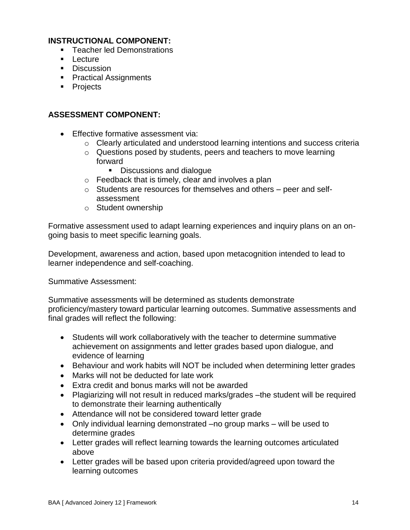# **INSTRUCTIONAL COMPONENT:**

- **Teacher led Demonstrations**
- **Lecture**
- **Discussion**
- **Practical Assignments**
- Projects

# **ASSESSMENT COMPONENT:**

- **Effective formative assessment via:** 
	- o Clearly articulated and understood learning intentions and success criteria
	- o Questions posed by students, peers and teachers to move learning forward
		- Discussions and dialogue
	- o Feedback that is timely, clear and involves a plan
	- o Students are resources for themselves and others peer and selfassessment
	- o Student ownership

Formative assessment used to adapt learning experiences and inquiry plans on an ongoing basis to meet specific learning goals.

Development, awareness and action, based upon metacognition intended to lead to learner independence and self-coaching.

Summative Assessment:

Summative assessments will be determined as students demonstrate proficiency/mastery toward particular learning outcomes. Summative assessments and final grades will reflect the following:

- Students will work collaboratively with the teacher to determine summative achievement on assignments and letter grades based upon dialogue, and evidence of learning
- Behaviour and work habits will NOT be included when determining letter grades
- Marks will not be deducted for late work
- Extra credit and bonus marks will not be awarded
- Plagiarizing will not result in reduced marks/grades –the student will be required to demonstrate their learning authentically
- Attendance will not be considered toward letter grade
- Only individual learning demonstrated –no group marks will be used to determine grades
- Letter grades will reflect learning towards the learning outcomes articulated above
- Letter grades will be based upon criteria provided/agreed upon toward the learning outcomes